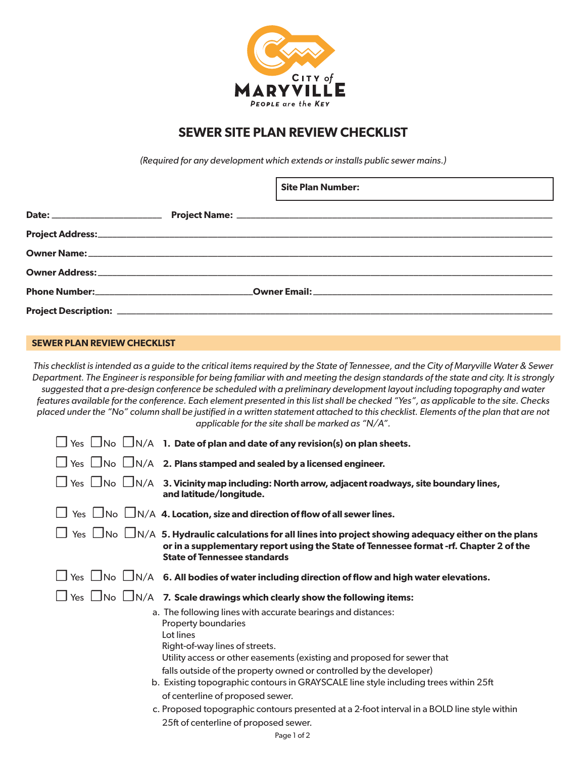

## **SEWER SITE PLAN REVIEW CHECKLIST**

*(Required for any development which extends or installs public sewer mains.)*

|  | <b>Site Plan Number:</b><br><u> 1999 - Jan Samuel Barbara, martin da shekara ta 1999 - An tsara tsara tsara tsara tsara tsara tsara tsara tsa</u> |
|--|---------------------------------------------------------------------------------------------------------------------------------------------------|
|  |                                                                                                                                                   |
|  |                                                                                                                                                   |
|  |                                                                                                                                                   |
|  |                                                                                                                                                   |
|  |                                                                                                                                                   |
|  |                                                                                                                                                   |

## **SEWER PLAN REVIEW CHECKLIST**

*This checklist is intended as a guide to the critical items required by the State of Tennessee, and the City of Maryville Water & Sewer Department. The Engineer is responsible for being familiar with and meeting the design standards of the state and city. It is strongly suggested that a pre-design conference be scheduled with a preliminary development layout including topography and water features available for the conference. Each element presented in this list shall be checked "Yes", as applicable to the site. Checks placed under the "No" column shall be justified in a written statement attached to this checklist. Elements of the plan that are not applicable for the site shall be marked as "N/A".*

| $\Box$ Yes $\Box$ No $\Box$ N/A $\,$ 1. Date of plan and date of any revision(s) on plan sheets.                                                                                                                                                                         |
|--------------------------------------------------------------------------------------------------------------------------------------------------------------------------------------------------------------------------------------------------------------------------|
| $\Box$ Yes $\Box$ No $\Box$ N/A 2. Plans stamped and sealed by a licensed engineer.                                                                                                                                                                                      |
| $\Box$ Yes $\Box$ No $\Box$ N/A $\,$ 3. Vicinity map including: North arrow, adjacent roadways, site boundary lines,<br>and latitude/longitude.                                                                                                                          |
| Yes $\Box$ No $\Box$ N/A 4. Location, size and direction of flow of all sewer lines.                                                                                                                                                                                     |
| Yes $\Box$ No $\Box$ N/A 5. Hydraulic calculations for all lines into project showing adequacy either on the plans<br>or in a supplementary report using the State of Tennessee format -rf. Chapter 2 of the<br><b>State of Tennessee standards</b>                      |
| $\Box$ Yes $\Box$ No $\Box$ N/A $\,$ 6. All bodies of water including direction of flow and high water elevations.                                                                                                                                                       |
| $\Box$ Yes $\Box$ No $\Box$ N/A 7. Scale drawings which clearly show the following items:                                                                                                                                                                                |
| a. The following lines with accurate bearings and distances:<br>Property boundaries<br>Lot lines                                                                                                                                                                         |
| Right-of-way lines of streets.<br>Utility access or other easements (existing and proposed for sewer that<br>falls outside of the property owned or controlled by the developer)<br>b. Existing topographic contours in GRAYSCALE line style including trees within 25ft |
| of centerline of proposed sewer.                                                                                                                                                                                                                                         |
| c. Proposed topographic contours presented at a 2-foot interval in a BOLD line style within                                                                                                                                                                              |
| 25ft of centerline of proposed sewer.                                                                                                                                                                                                                                    |
| Page 1 of 2                                                                                                                                                                                                                                                              |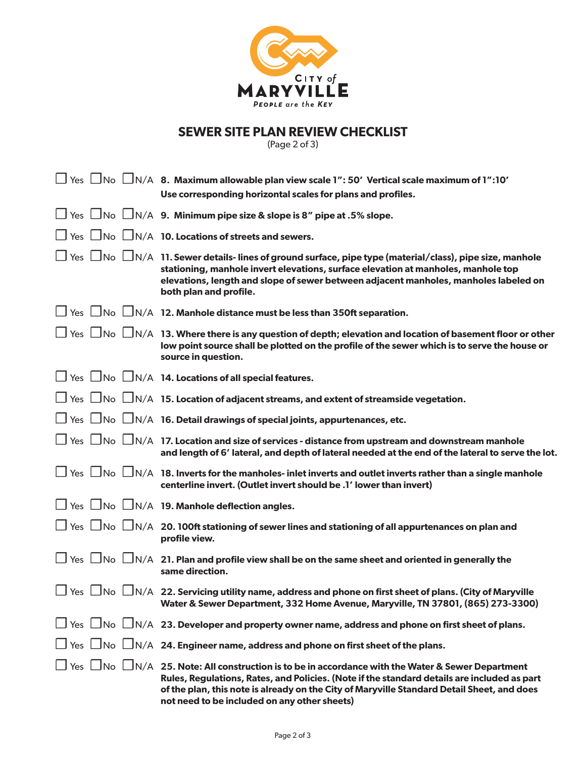

## **SEWER SITE PLAN REVIEW CHECKLIST**

(Page 2 of 3)

| $\Box$ Yes $\Box$ No $\Box$ N/A 8. Maximum allowable plan view scale 1": 50' Vertical scale maximum of 1":10'<br>Use corresponding horizontal scales for plans and profiles.                                                                                                                                                                                          |
|-----------------------------------------------------------------------------------------------------------------------------------------------------------------------------------------------------------------------------------------------------------------------------------------------------------------------------------------------------------------------|
| $\Box$ Yes $\Box$ No $\Box$ N/A 9. Minimum pipe size & slope is 8" pipe at .5% slope.                                                                                                                                                                                                                                                                                 |
| $\Box$ Yes $\Box$ No $\Box$ N/A 10. Locations of streets and sewers.                                                                                                                                                                                                                                                                                                  |
| $\Box$ Yes $\Box$ No $\Box$ N/A $\,$ 11. Sewer details- lines of ground surface, pipe type (material/class), pipe size, manhole<br>stationing, manhole invert elevations, surface elevation at manholes, manhole top<br>elevations, length and slope of sewer between adjacent manholes, manholes labeled on<br>both plan and profile.                                |
| $\Box$ Yes $\Box$ No $\Box$ N/A 12. Manhole distance must be less than 350ft separation.                                                                                                                                                                                                                                                                              |
| $\Box$ Yes $\Box$ No $\Box$ N/A $\,$ 13. Where there is any question of depth; elevation and location of basement floor or other<br>low point source shall be plotted on the profile of the sewer which is to serve the house or<br>source in question.                                                                                                               |
| $\Box$ Yes $\Box$ No $\Box$ N/A 14. Locations of all special features.                                                                                                                                                                                                                                                                                                |
| $\Box$ Yes $\Box$ No $\Box$ N/A $\,$ 15. Location of adjacent streams, and extent of streamside vegetation.                                                                                                                                                                                                                                                           |
| $\Box$ Yes $\Box$ No $\Box$ N/A 16. Detail drawings of special joints, appurtenances, etc.                                                                                                                                                                                                                                                                            |
| $\Box$ Yes $\,\Box$ No $\,\Box$ N/A $\,$ 17. Location and size of services - distance from upstream and downstream manhole<br>and length of 6' lateral, and depth of lateral needed at the end of the lateral to serve the lot.                                                                                                                                       |
| $\Box$ Yes $\Box$ No $\Box$ N/A 18. Inverts for the manholes- inlet inverts and outlet inverts rather than a single manhole<br>centerline invert. (Outlet invert should be .1' lower than invert)                                                                                                                                                                     |
| □ Yes □ No □ N/A 19. Manhole deflection angles.                                                                                                                                                                                                                                                                                                                       |
| $\Box$ Yes $\Box$ No $\Box$ N/A $\,$ 20. 100ft stationing of sewer lines and stationing of all appurtenances on plan and<br>profile view.                                                                                                                                                                                                                             |
| $\Box$ Yes $\Box$ No $\Box$ N/A 21. Plan and profile view shall be on the same sheet and oriented in generally the<br>same direction.                                                                                                                                                                                                                                 |
| $\mid$ Yes $\mid$ No $\mid$ N/A 22. Servicing utility name, address and phone on first sheet of plans. (City of Maryville<br>Water & Sewer Department, 332 Home Avenue, Maryville, TN 37801, (865) 273-3300)                                                                                                                                                          |
| $\Box$ Yes $\Box$ No $\Box$ N/A 23. Developer and property owner name, address and phone on first sheet of plans.                                                                                                                                                                                                                                                     |
| $\Box$ Yes $\Box$ No $\Box$ N/A 24. Engineer name, address and phone on first sheet of the plans.                                                                                                                                                                                                                                                                     |
| $\Box$ Yes $\Box$ No $\Box$ N/A $\,$ 25. Note: All construction is to be in accordance with the Water & Sewer Department<br>Rules, Regulations, Rates, and Policies. (Note if the standard details are included as part<br>of the plan, this note is already on the City of Maryville Standard Detail Sheet, and does<br>not need to be included on any other sheets) |